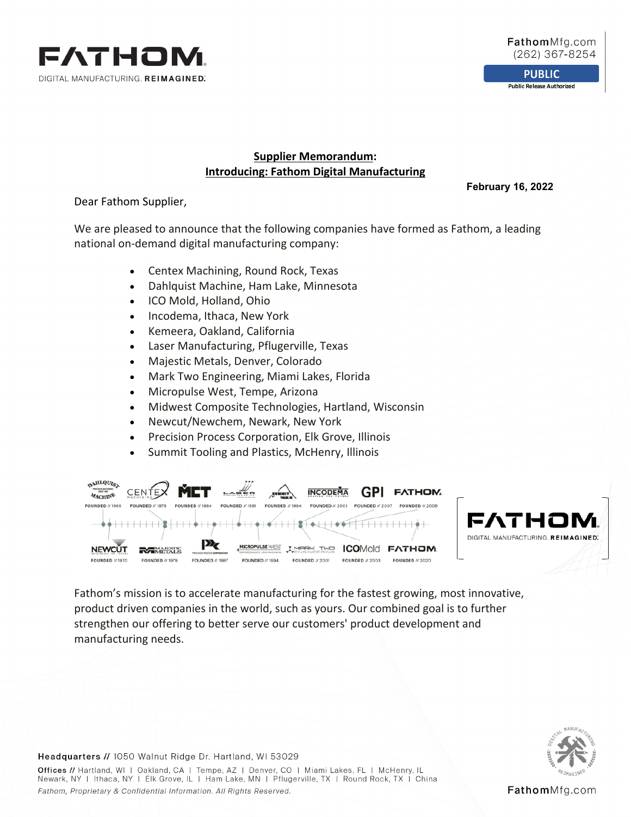

**PUBLIC Public Release Authorized** 

# **Supplier Memorandum: Introducing: Fathom Digital Manufacturing**

**February 16, 2022**

Dear Fathom Supplier,

We are pleased to announce that the following companies have formed as Fathom, a leading national on-demand digital manufacturing company:

- Centex Machining, Round Rock, Texas
- Dahlquist Machine, Ham Lake, Minnesota
- ICO Mold, Holland, Ohio
- Incodema, Ithaca, New York
- Kemeera, Oakland, California
- Laser Manufacturing, Pflugerville, Texas
- Majestic Metals, Denver, Colorado
- Mark Two Engineering, Miami Lakes, Florida
- Micropulse West, Tempe, Arizona
- Midwest Composite Technologies, Hartland, Wisconsin
- Newcut/Newchem, Newark, New York
- Precision Process Corporation, Elk Grove, Illinois
- Summit Tooling and Plastics, McHenry, Illinois



Fathom's mission is to accelerate manufacturing for the fastest growing, most innovative, product driven companies in the world, such as yours. Our combined goal is to further strengthen our offering to better serve our customers' product development and manufacturing needs. 



#### Headquarters // 1050 Walnut Ridge Dr. Hartland, WI 53029

Offices // Hartland, WI | Oakland, CA | Tempe, AZ | Denver, CO | Miami Lakes, FL | McHenry, IL Newark, NY | Ithaca, NY | Elk Grove, IL | Ham Lake, MN | Pflugerville, TX | Round Rock, TX | China Fathom, Proprietary & Confidential Information. All Rights Reserved.

FathomMfg.com